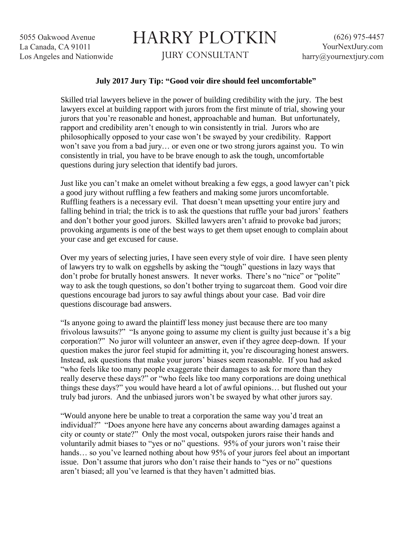5055 Oakwood Avenue La Canada, CA 91011 Los Angeles and Nationwide

## HARRY PLOTKIN JURY CONSULTANT

## **July 2017 Jury Tip: "Good voir dire should feel uncomfortable"**

Skilled trial lawyers believe in the power of building credibility with the jury. The best lawyers excel at building rapport with jurors from the first minute of trial, showing your jurors that you're reasonable and honest, approachable and human. But unfortunately, rapport and credibility aren't enough to win consistently in trial. Jurors who are philosophically opposed to your case won't be swayed by your credibility. Rapport won't save you from a bad jury… or even one or two strong jurors against you. To win consistently in trial, you have to be brave enough to ask the tough, uncomfortable questions during jury selection that identify bad jurors.

Just like you can't make an omelet without breaking a few eggs, a good lawyer can't pick a good jury without ruffling a few feathers and making some jurors uncomfortable. Ruffling feathers is a necessary evil. That doesn't mean upsetting your entire jury and falling behind in trial; the trick is to ask the questions that ruffle your bad jurors' feathers and don't bother your good jurors. Skilled lawyers aren't afraid to provoke bad jurors; provoking arguments is one of the best ways to get them upset enough to complain about your case and get excused for cause.

Over my years of selecting juries, I have seen every style of voir dire. I have seen plenty of lawyers try to walk on eggshells by asking the "tough" questions in lazy ways that don't probe for brutally honest answers. It never works. There's no "nice" or "polite" way to ask the tough questions, so don't bother trying to sugarcoat them. Good voir dire questions encourage bad jurors to say awful things about your case. Bad voir dire questions discourage bad answers.

"Is anyone going to award the plaintiff less money just because there are too many frivolous lawsuits?" "Is anyone going to assume my client is guilty just because it's a big corporation?" No juror will volunteer an answer, even if they agree deep-down. If your question makes the juror feel stupid for admitting it, you're discouraging honest answers. Instead, ask questions that make your jurors' biases seem reasonable. If you had asked "who feels like too many people exaggerate their damages to ask for more than they really deserve these days?" or "who feels like too many corporations are doing unethical things these days?" you would have heard a lot of awful opinions… but flushed out your truly bad jurors. And the unbiased jurors won't be swayed by what other jurors say.

"Would anyone here be unable to treat a corporation the same way you'd treat an individual?" "Does anyone here have any concerns about awarding damages against a city or county or state?" Only the most vocal, outspoken jurors raise their hands and voluntarily admit biases to "yes or no" questions. 95% of your jurors won't raise their hands... so you've learned nothing about how 95% of your jurors feel about an important issue. Don't assume that jurors who don't raise their hands to "yes or no" questions aren't biased; all you've learned is that they haven't admitted bias.